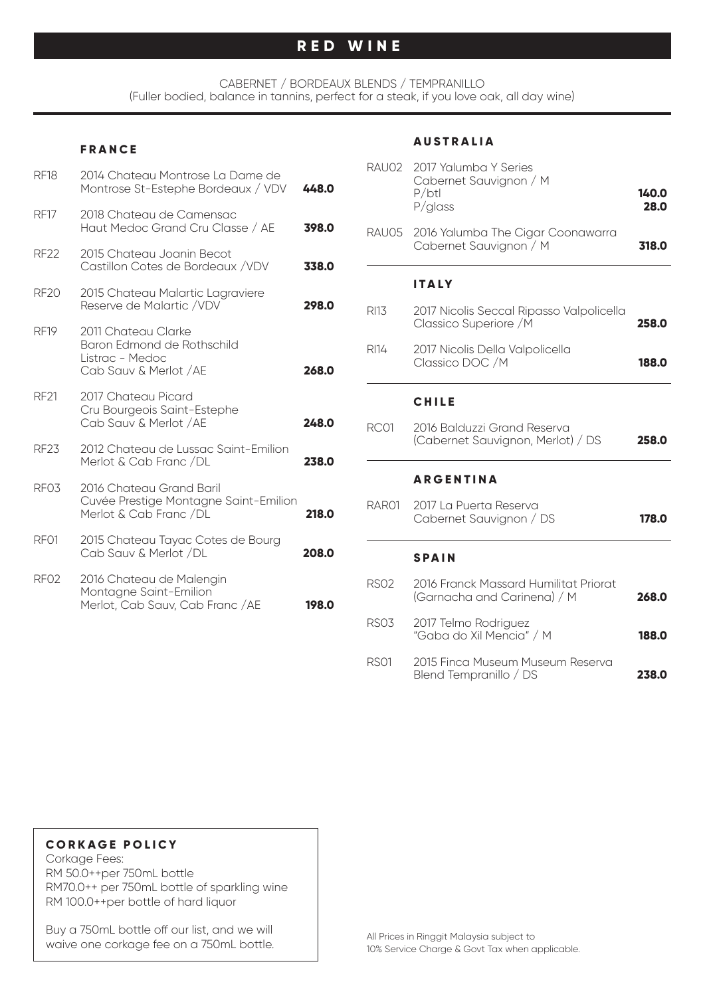# **RED WINE**

CABERNET / BORDEAUX BLENDS / TEMPRANILLO (Fuller bodied, balance in tannins, perfect for a steak, if you love oak, all day wine)

#### **FRANCE**

| <b>RF18</b>      | 2014 Chateau Montrose La Dame de<br>Montrose St-Estephe Bordeaux / VDV                         | 448.0 |
|------------------|------------------------------------------------------------------------------------------------|-------|
| <b>RF17</b>      | 2018 Chateau de Camensac<br>Haut Medoc Grand Cru Classe / AE                                   | 398.0 |
| <b>RF22</b>      | 2015 Chateau Joanin Becot<br>Castillon Cotes de Bordeaux /VDV                                  | 338.0 |
| <b>RF20</b>      | 2015 Chateau Malartic Lagraviere<br>Reserve de Malartic /VDV                                   | 298.0 |
| <b>RF19</b>      | 2011 Chateau Clarke<br>Baron Edmond de Rothschild<br>Listrac - Medoc<br>Cab Sauv & Merlot / AE | 268.0 |
| <b>RF21</b>      | 2017 Chateau Picard<br>Cru Bourgeois Saint-Estephe<br>Cab Sauv & Merlot / AE                   | 248.0 |
| <b>RF23</b>      | 2012 Chateau de Lussac Saint-Emilion<br>Merlot & Cab Franc /DL                                 | 238.0 |
| RF <sub>03</sub> | 2016 Chateau Grand Baril<br>Cuvée Prestige Montagne Saint-Emilion<br>Merlot & Cab Franc /DL    | 218.0 |
| RF <sub>01</sub> | 2015 Chateau Tayac Cotes de Bourg<br>Cab Sauv & Merlot /DL                                     | 208.0 |
| RF <sub>02</sub> | 2016 Chateau de Malengin<br>Montagne Saint-Emilion<br>Merlot, Cab Sauv, Cab Franc / AE         | 198.0 |

#### **AUSTRALIA**

| RAU02            | 2017 Yalumba Y Series<br>Cabernet Sauvignon / M<br>P/btl<br>$P/g$ lass | 140.0<br>28.0 |
|------------------|------------------------------------------------------------------------|---------------|
| RAU05            | 2016 Yalumba The Cigar Coonawarra<br>Cabernet Sauvignon / M            | 318.0         |
|                  | ITALY                                                                  |               |
| RI13             | 2017 Nicolis Seccal Ripasso Valpolicella<br>Classico Superiore / M     | 258.0         |
| RI14             | 2017 Nicolis Della Valpolicella<br>Classico DOC / M                    | 188.0         |
|                  | <b>CHILE</b>                                                           |               |
| <b>RC01</b>      | 2016 Balduzzi Grand Reserva<br>(Cabernet Sauvignon, Merlot) / DS       | 258.0         |
|                  | <b>ARGENTINA</b>                                                       |               |
| RAR01            | 2017 La Puerta Reserva<br>Cabernet Sauvignon / DS                      | 178.0         |
|                  | <b>SPAIN</b>                                                           |               |
| <b>RSO2</b>      | 2016 Franck Massard Humilitat Priorat<br>(Garnacha and Carinena) / M   | 268.0         |
| <b>RS03</b>      | 2017 Telmo Rodriguez<br>"Gaba do Xil Mencia" / M                       | 188.0         |
| RS <sub>01</sub> | 2015 Finca Museum Museum Reserva<br>Blend Tempranillo / DS             | 238.0         |

#### **CORKAGE POLICY**

Corkage Fees: RM 50.0++per 750mL bottle RM70.0++ per 750mL bottle of sparkling wine RM 100.0++per bottle of hard liquor

Buy a 750mL bottle off our list, and we will waive one corkage fee on a 750mL bottle.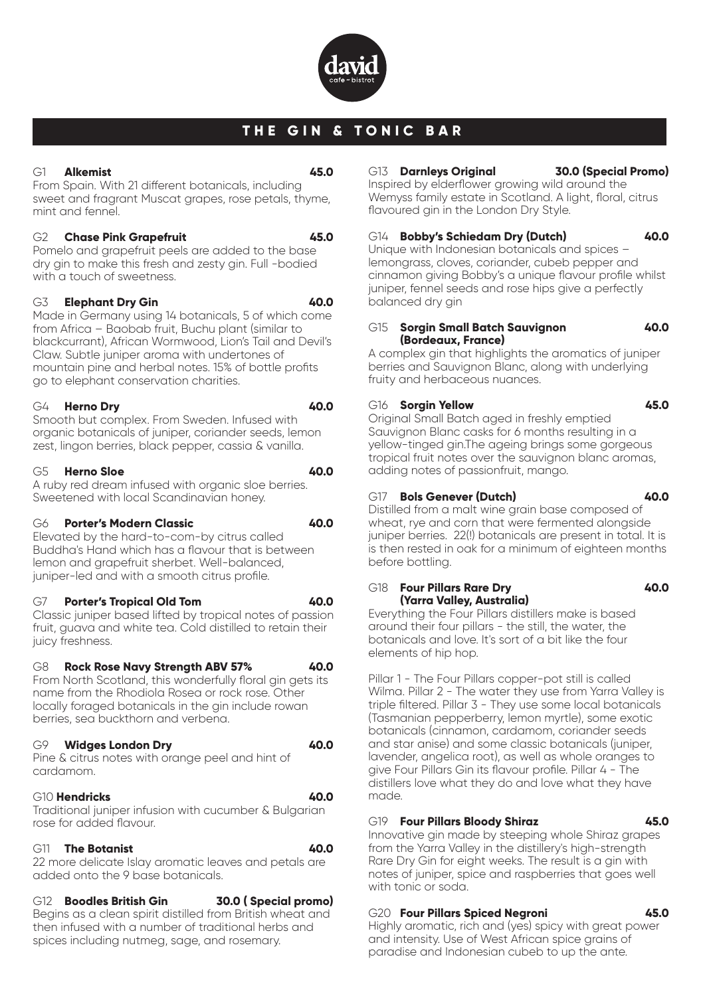

# **THE GIN & TONIC BAR**

#### G1 **Alkemist 45.0**

From Spain. With 21 different botanicals, including sweet and fragrant Muscat grapes, rose petals, thyme, mint and fennel.

#### G2 **Chase Pink Grapefruit 45.0**

Pomelo and grapefruit peels are added to the base dry gin to make this fresh and zesty gin. Full -bodied with a touch of sweetness.

# G3 **Elephant Dry Gin 40.0**

Made in Germany using 14 botanicals, 5 of which come from Africa – Baobab fruit, Buchu plant (similar to blackcurrant), African Wormwood, Lion's Tail and Devil's Claw. Subtle juniper aroma with undertones of mountain pine and herbal notes. 15% of bottle profits go to elephant conservation charities.

#### G4 **Herno Dry 40.0**

Smooth but complex. From Sweden. Infused with organic botanicals of juniper, coriander seeds, lemon zest, lingon berries, black pepper, cassia & vanilla.

#### G5 **Herno Sloe 40.0**

A ruby red dream infused with organic sloe berries.

Sweetened with local Scandinavian honey.

# G6 **Porter's Modern Classic 40.0**

Elevated by the hard-to-com-by citrus called Buddha's Hand which has a flavour that is between lemon and grapefruit sherbet. Well-balanced, juniper-led and with a smooth citrus profile.

# G7 **Porter's Tropical Old Tom 40.0**

Classic juniper based lifted by tropical notes of passion fruit, guava and white tea. Cold distilled to retain their juicy freshness.

# G8 **Rock Rose Navy Strength ABV 57% 40.0**

From North Scotland, this wonderfully floral gin gets its name from the Rhodiola Rosea or rock rose. Other locally foraged botanicals in the gin include rowan berries, sea buckthorn and verbena.

# G9 **Widges London Dry 40.0**

Pine & citrus notes with orange peel and hint of cardamom.

# G10 **Hendricks 40.0**

Traditional juniper infusion with cucumber & Bulgarian rose for added flavour.

# G11 **The Botanist 40.0**

22 more delicate Islay aromatic leaves and petals are added onto the 9 base botanicals.

# G12 **Boodles British Gin 30.0 ( Special promo)**

Begins as a clean spirit distilled from British wheat and then infused with a number of traditional herbs and spices including nutmeg, sage, and rosemary.

#### G13 **Darnleys Original 30.0 (Special Promo)**

Inspired by elderflower growing wild around the Wemyss family estate in Scotland. A light, floral, citrus flavoured gin in the London Dry Style.

# G14 **Bobby's Schiedam Dry (Dutch) 40.0**

Unique with Indonesian botanicals and spices – lemongrass, cloves, coriander, cubeb pepper and cinnamon giving Bobby's a unique flavour profile whilst juniper, fennel seeds and rose hips give a perfectly balanced dry gin

#### G15 **Sorgin Small Batch Sauvignon 40.0 (Bordeaux, France)**

A complex gin that highlights the aromatics of juniper berries and Sauvignon Blanc, along with underlying fruity and herbaceous nuances.

# G16 **Sorgin Yellow 45.0**

Original Small Batch aged in freshly emptied Sauvignon Blanc casks for 6 months resulting in a yellow-tinged gin.The ageing brings some gorgeous tropical fruit notes over the sauvignon blanc aromas, adding notes of passionfruit, mango.

# G17 **Bols Genever (Dutch) 40.0**

Distilled from a malt wine grain base composed of wheat, rye and corn that were fermented alongside juniper berries. 22(!) botanicals are present in total. It is is then rested in oak for a minimum of eighteen months before bottling.

# G18 **Four Pillars Rare Dry 40.0 (Yarra Valley, Australia)**

Everything the Four Pillars distillers make is based around their four pillars - the still, the water, the botanicals and love. It's sort of a bit like the four elements of hip hop.

Pillar 1 - The Four Pillars copper-pot still is called Wilma. Pillar 2 - The water they use from Yarra Valley is triple filtered. Pillar 3 - They use some local botanicals (Tasmanian pepperberry, lemon myrtle), some exotic botanicals (cinnamon, cardamom, coriander seeds and star anise) and some classic botanicals (juniper, lavender, angelica root), as well as whole oranges to give Four Pillars Gin its flavour profile. Pillar 4 - The distillers love what they do and love what they have made.

# G19 **Four Pillars Bloody Shiraz 45.0**

Innovative gin made by steeping whole Shiraz grapes from the Yarra Valley in the distillery's high-strength Rare Dry Gin for eight weeks. The result is a gin with notes of juniper, spice and raspberries that goes well with tonic or soda.

# G20 **Four Pillars Spiced Negroni 45.0**

Highly aromatic, rich and (yes) spicy with great power and intensity. Use of West African spice grains of paradise and Indonesian cubeb to up the ante.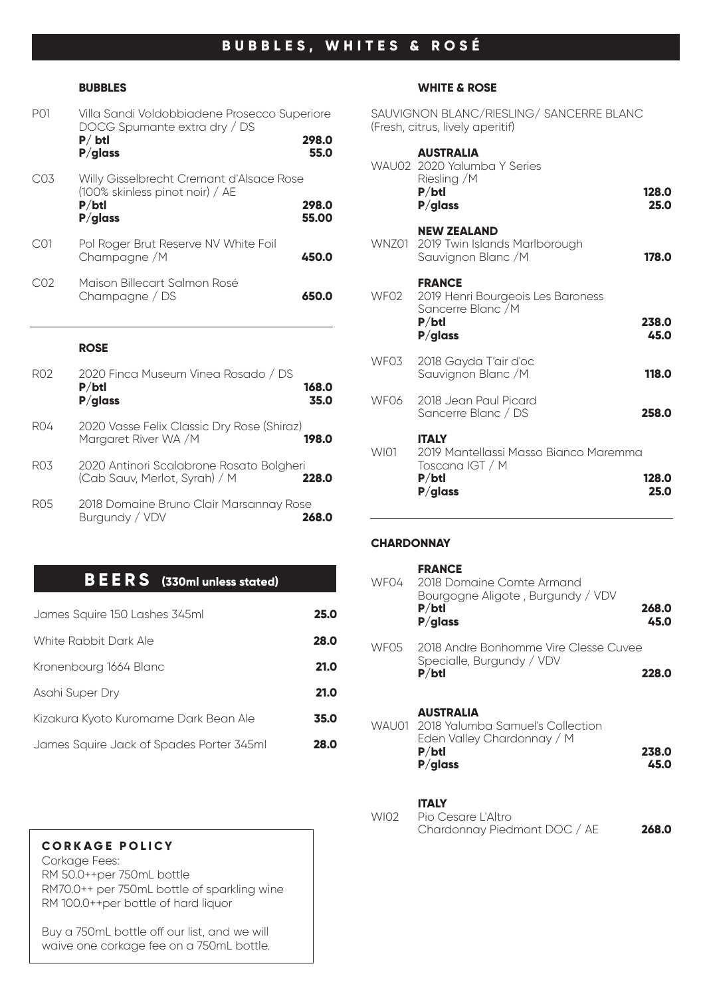# **BUBBLES, WHITES & ROSÉ**

#### **BUBBLES**

| P <sub>01</sub> | Villa Sandi Voldobbiadene Prosecco Superiore<br>DOCG Spumante extra dry / DS<br>$P/$ btl<br>$P/g$ lass | 298.0<br>55.0  |
|-----------------|--------------------------------------------------------------------------------------------------------|----------------|
| C03             | Willy Gisselbrecht Cremant d'Alsace Rose<br>(100% skinless pinot noir) / AE<br>P/btl<br>$P/g$ lass     | 298.0<br>55.00 |
| C01             | Pol Roger Brut Reserve NV White Foil<br>Champagne / M                                                  | 450.0          |
| C <sub>02</sub> | Maison Billecart Salmon Rosé<br>Champagne / DS                                                         | 650.0          |

#### **ROSE**

| RO2              | 2020 Finca Museum Vinea Rosado / DS<br>P/btl<br>168.0<br>$P/g$ lass<br>35.0        |
|------------------|------------------------------------------------------------------------------------|
| RO4              | 2020 Vasse Felix Classic Dry Rose (Shiraz)<br>Margaret River WA / M<br>198.0       |
| R <sub>0</sub> 3 | 2020 Antinori Scalabrone Rosato Bolgheri<br>(Cab Sauv, Merlot, Syrah) / M<br>228.0 |
| RO5              | 2018 Domaine Bruno Clair Marsannay Rose<br>Burgundy / VDV                          |

# **BEERS (330ml unless stated)**

| James Squire 150 Lashes 345ml            | 25.0 |
|------------------------------------------|------|
| White Rabbit Dark Ale                    | 28.0 |
| Kronenbourg 1664 Blanc                   | 21.0 |
| Asahi Super Dry                          | 21.0 |
| Kizakura Kyoto Kuromame Dark Bean Ale    | 35.0 |
| James Squire Jack of Spades Porter 345ml | 28.0 |

#### **CORKAGE POLICY**

Corkage Fees: RM 50.0++per 750mL bottle RM70.0++ per 750mL bottle of sparkling wine RM 100.0++per bottle of hard liquor

Buy a 750mL bottle off our list, and we will waive one corkage fee on a 750mL bottle.

#### **WHITE & ROSE**

SAUVIGNON BLANC/RIESLING/ SANCERRE BLANC (Fresh, citrus, lively aperitif)

|                  | <b>AUSTRALIA</b><br>WAU02 2020 Yalumba Y Series<br>Riesling /M<br>P/btl<br>$P/g$ lass           | 128.0<br>25.0 |
|------------------|-------------------------------------------------------------------------------------------------|---------------|
|                  | <b>NEW ZEALAND</b><br>WNZ01 2019 Twin Islands Marlborough<br>Sauvignon Blanc / M                | 178.0         |
| WFO <sub>2</sub> | <b>FRANCE</b><br>2019 Henri Bourgeois Les Baroness<br>Sancerre Blanc / M<br>P/btl<br>$P/g$ lass | 238.0<br>45.0 |
| WF03             | 2018 Gayda T'air d'oc<br>Sauvignon Blanc / M                                                    | 118.0         |
| WF06             | 2018 Jean Paul Picard<br>Sancerre Blanc / DS                                                    | 258.0         |
| <b>WI01</b>      | <b>ITALY</b><br>2019 Mantellassi Masso Bianco Maremma<br>Toscana IGT / M<br>P/btl<br>$P/g$ lass | 128.0<br>25.0 |

# **CHARDONNAY**

| WF04 | <b>FRANCE</b><br>2018 Domaine Comte Armand<br>Bourgogne Aligote, Burgundy / VDV<br>P/btl<br>$P/g$ lass          | 268.0<br>45.0 |
|------|-----------------------------------------------------------------------------------------------------------------|---------------|
| WF05 | 2018 Andre Bonhomme Vire Clesse Cuvee<br>Specialle, Burgundy / VDV<br>P/btl                                     | 228.0         |
|      | <b>AUSTRALIA</b><br>WAU01 2018 Yalumba Samuel's Collection<br>Eden Valley Chardonnay / M<br>P/btl<br>$P/g$ lass | 238.0<br>45.0 |
| WIO2 | <b>ITALY</b><br>Pio Cesare L'Altro<br>Chardonnay Piedmont DOC / AE                                              | 268.0         |